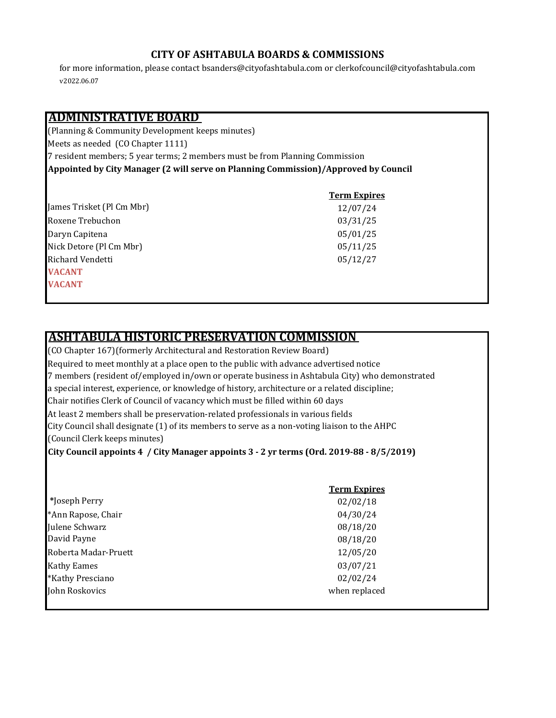#### **CITY OF ASHTABULA BOARDS & COMMISSIONS**

v2022.06.07 for more information, please contact bsanders@cityofashtabula.com or clerkofcouncil@cityofashtabula.com

#### **ADMINISTRATIVE BOARD**

(Planning & Community Development keeps minutes)

Meets as needed (CO Chapter 1111)

7 resident members; 5 year terms; 2 members must be from Planning Commission

**Appointed by City Manager (2 will serve on Planning Commission)/Approved by Council** 

|                           | <b>Term Expires</b> |
|---------------------------|---------------------|
| James Trisket (Pl Cm Mbr) | 12/07/24            |
| Roxene Trebuchon          | 03/31/25            |
| Daryn Capitena            | 05/01/25            |
| Nick Detore (Pl Cm Mbr)   | 05/11/25            |
| Richard Vendetti          | 05/12/27            |
| <b>VACANT</b>             |                     |
| <b>VACANT</b>             |                     |
|                           |                     |

#### **ASHTABULA HISTORIC PRESERVATION COMMISSION**

(CO Chapter 167)(formerly Architectural and Restoration Review Board) Required to meet monthly at a place open to the public with advance advertised notice 7 members (resident of/employed in/own or operate business in Ashtabula City) who demonstrated a special interest, experience, or knowledge of history, architecture or a related discipline; Chair notifies Clerk of Council of vacancy which must be filled within 60 days At least 2 members shall be preservation-related professionals in various fields City Council shall designate (1) of its members to serve as a non-voting liaison to the AHPC (Council Clerk keeps minutes)

**City Council appoints 4 / City Manager appoints 3 - 2 yr terms (Ord. 2019-88 - 8/5/2019)**

|                      | <b>Term Expires</b> |
|----------------------|---------------------|
| *Joseph Perry        | 02/02/18            |
| *Ann Rapose, Chair   | 04/30/24            |
| Julene Schwarz       | 08/18/20            |
| David Payne          | 08/18/20            |
| Roberta Madar-Pruett | 12/05/20            |
| <b>Kathy Eames</b>   | 03/07/21            |
| *Kathy Presciano     | 02/02/24            |
| John Roskovics       | when replaced       |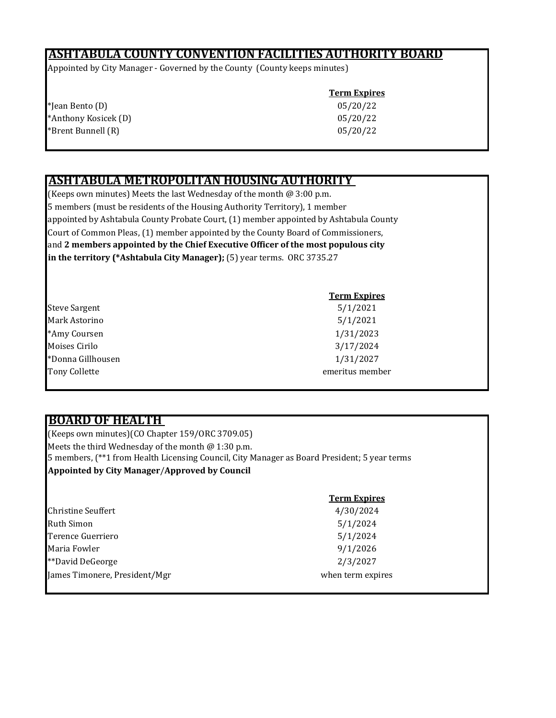### **ASHTABULA COUNTY CONVENTION FACILITIES AUTHORITY BOARD**

Appointed by City Manager - Governed by the County (County keeps minutes)

|                      | <b>Term Expires</b> |
|----------------------|---------------------|
| *Jean Bento (D)      | 05/20/22            |
| *Anthony Kosicek (D) | 05/20/22            |
| *Brent Bunnell (R)   | 05/20/22            |
|                      |                     |

### **ASHTABULA METROPOLITAN HOUSING AUTHORITY**

(Keeps own minutes) Meets the last Wednesday of the month  $@3:00$  p.m. 5 members (must be residents of the Housing Authority Territory), 1 member appointed by Ashtabula County Probate Court, (1) member appointed by Ashtabula County Court of Common Pleas, (1) member appointed by the County Board of Commissioners, and **2 members appointed by the Chief Executive Officer of the most populous city in the territory (\*Ashtabula City Manager);** (5) year terms. ORC 3735.27

Steve Sargent 5/1/2021 Mark Astorino 5/1/2021 \*Amy Coursen 2008 and 2008 and 2008 and 2008 and 2008 and 2008 and 2008 and 2008 and 2008 and 2008 and 2008 and 2008 and 2008 and 2008 and 2008 and 2008 and 2008 and 2008 and 2008 and 2008 and 2008 and 2008 and 2008 and 20 Moises Cirilo  $3/17/2024$ \*Donna Gillhousen 1/31/2027

**Term Expires** emeritus member

#### **BOARD OF HEALTH**

(Keeps own minutes)(CO Chapter 159/ORC 3709.05) Meets the third Wednesday of the month @ 1:30 p.m. 5 members, (\*\*1 from Health Licensing Council, City Manager as Board President; 5 year terms **Appointed by City Manager**/**Approved by Council** 

|                               | <b>Term Expires</b> |
|-------------------------------|---------------------|
| <b>Christine Seuffert</b>     | 4/30/2024           |
| <b>Ruth Simon</b>             | 5/1/2024            |
| Terence Guerriero             | 5/1/2024            |
| Maria Fowler                  | 9/1/2026            |
| **David DeGeorge              | 2/3/2027            |
| James Timonere, President/Mgr | when term expires   |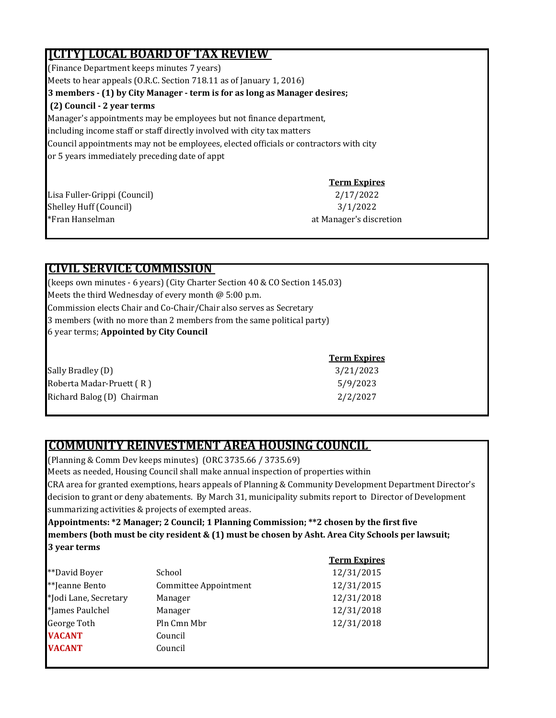## **[CITY] LOCAL BOARD OF TAX REVIEW**

(Finance Department keeps minutes 7 years) Meets to hear appeals (O.R.C. Section 718.11 as of January 1, 2016) **3 members - (1) by City Manager - term is for as long as Manager desires; (2) Council - 2 year terms**  Manager's appointments may be employees but not finance department, including income staff or staff directly involved with city tax matters Council appointments may not be employees, elected officials or contractors with city or 5 years immediately preceding date of appt

Lisa Fuller-Grippi (Council) 2/17/2022 Shelley Huff (Council) \*Fran Hanselman at Manager's discretion

**Term Expires**

### **CIVIL SERVICE COMMISSION**

(keeps own minutes - 6 years) (City Charter Section 40 & CO Section 145.03) Meets the third Wednesday of every month @ 5:00 p.m. Commission elects Chair and Co-Chair/Chair also serves as Secretary 3 members (with no more than 2 members from the same political party) 6 year terms; **Appointed by City Council** 

|                            | <b>Term Expires</b> |
|----------------------------|---------------------|
| Sally Bradley (D)          | 3/21/2023           |
| Roberta Madar-Pruett (R)   | 5/9/2023            |
| Richard Balog (D) Chairman | 2/2/2027            |

## **COMMUNITY REINVESTMENT AREA HOUSING COUNCIL**

(Planning & Comm Dev keeps minutes) (ORC 3735.66 / 3735.69)

Meets as needed, Housing Council shall make annual inspection of properties within

CRA area for granted exemptions, hears appeals of Planning & Community Development Department Director's decision to grant or deny abatements. By March 31, municipality submits report to Director of Development summarizing activities & projects of exempted areas.

**Appointments: \*2 Manager; 2 Council; 1 Planning Commission; \*\*2 chosen by the first five members (both must be city resident & (1) must be chosen by Asht. Area City Schools per lawsuit; 3 year terms**

|                       |                       | <b>Term Expires</b> |
|-----------------------|-----------------------|---------------------|
| **David Boyer         | School                | 12/31/2015          |
| **Jeanne Bento        | Committee Appointment | 12/31/2015          |
| *Jodi Lane, Secretary | Manager               | 12/31/2018          |
| *James Paulchel       | Manager               | 12/31/2018          |
| George Toth           | Pln Cmn Mbr           | 12/31/2018          |
| <b>VACANT</b>         | Council               |                     |
| <b>VACANT</b>         | Council               |                     |
|                       |                       |                     |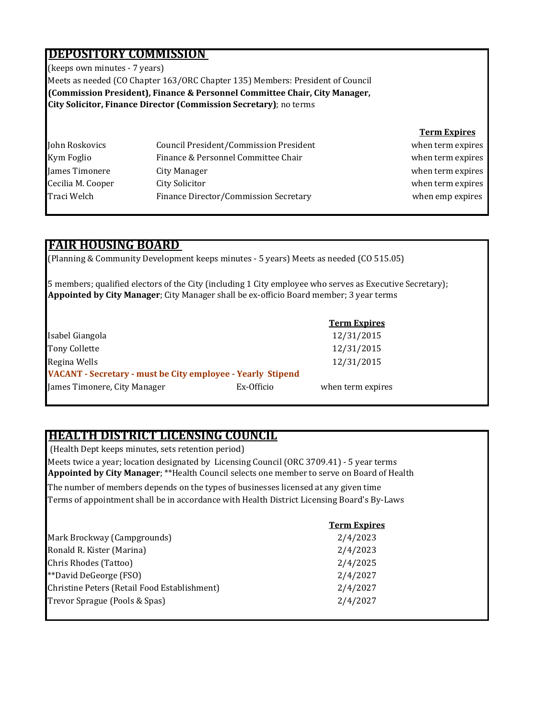## **DEPOSITORY COMMISSION**

(keeps own minutes - 7 years)

Meets as needed (CO Chapter 163/ORC Chapter 135) Members: President of Council

**(Commission President), Finance & Personnel Committee Chair, City Manager,** 

**City Solicitor, Finance Director (Commission Secretary)**; no terms

| John Roskovics    |
|-------------------|
| Kym Foglio        |
| James Timonere    |
| Cecilia M. Cooper |
| Traci Welch       |

Council President/Commission President when term expires Finance & Personnel Committee Chair when term expires City Manager when term expires Cecilia M. Cooper City Solicitor when term expires Finance Director/Commission Secretary when emp expires

**Term Expires**

#### **FAIR HOUSING BOARD**

(Planning & Community Development keeps minutes - 5 years) Meets as needed (CO 515.05)

5 members; qualified electors of the City (including 1 City employee who serves as Executive Secretary); **Appointed by City Manager**; City Manager shall be ex-officio Board member; 3 year terms

|                                                             |            | <b>Term Expires</b> |
|-------------------------------------------------------------|------------|---------------------|
| Isabel Giangola                                             |            | 12/31/2015          |
| <b>Tony Collette</b>                                        |            | 12/31/2015          |
| Regina Wells                                                |            | 12/31/2015          |
| VACANT - Secretary - must be City employee - Yearly Stipend |            |                     |
| James Timonere, City Manager                                | Ex-Officio | when term expires   |

### **HEALTH DISTRICT LICENSING COUNCIL**

(Health Dept keeps minutes, sets retention period)

Meets twice a year; location designated by Licensing Council (ORC 3709.41) - 5 year terms **Appointed by City Manager**; \*\*Health Council selects one member to serve on Board of Health

The number of members depends on the types of businesses licensed at any given time Terms of appointment shall be in accordance with Health District Licensing Board's By-Laws

|                                              | <b>Term Expires</b> |
|----------------------------------------------|---------------------|
| Mark Brockway (Campgrounds)                  | 2/4/2023            |
| Ronald R. Kister (Marina)                    | 2/4/2023            |
| Chris Rhodes (Tattoo)                        | 2/4/2025            |
| **David DeGeorge (FSO)                       | 2/4/2027            |
| Christine Peters (Retail Food Establishment) | 2/4/2027            |
| Trevor Sprague (Pools & Spas)                | 2/4/2027            |
|                                              |                     |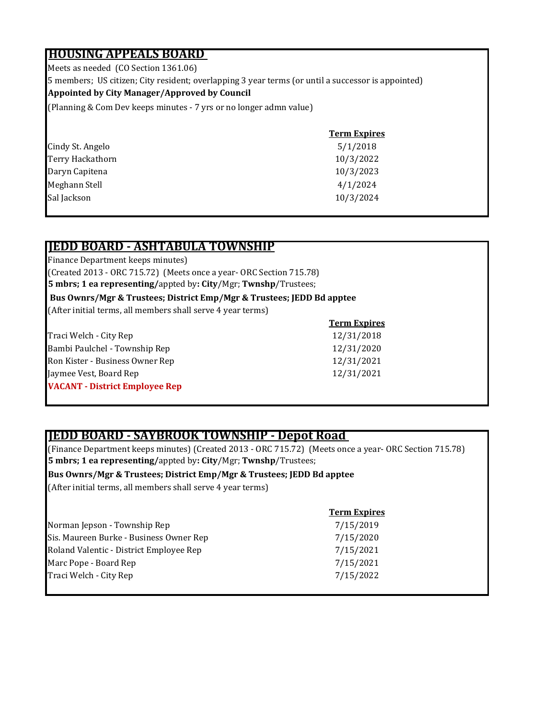## **HOUSING APPEALS BOARD**

Meets as needed (CO Section 1361.06)

5 members; US citizen; City resident; overlapping 3 year terms (or until a successor is appointed)

#### **Appointed by City Manager/Approved by Council**

(Planning & Com Dev keeps minutes - 7 yrs or no longer admn value)

| <b>Term Expires</b> |
|---------------------|
| 5/1/2018            |
| 10/3/2022           |
| 10/3/2023           |
| 4/1/2024            |
| 10/3/2024           |
|                     |

#### **JEDD BOARD - ASHTABULA TOWNSHIP**

Finance Department keeps minutes)

(Created 2013 - ORC 715.72) (Meets once a year- ORC Section 715.78) **5 mbrs; 1 ea representing/**appted by**: City**/Mgr; **Twnshp**/Trustees;

#### **Bus Ownrs/Mgr & Trustees; District Emp/Mgr & Trustees; JEDD Bd apptee**

(After initial terms, all members shall serve 4 year terms)

|                                       | <b>Term Expires</b> |
|---------------------------------------|---------------------|
| Traci Welch - City Rep                | 12/31/2018          |
| Bambi Paulchel - Township Rep         | 12/31/2020          |
| Ron Kister - Business Owner Rep       | 12/31/2021          |
| Jaymee Vest, Board Rep                | 12/31/2021          |
| <b>VACANT</b> - District Employee Rep |                     |
|                                       |                     |

#### **JEDD BOARD - SAYBROOK TOWNSHIP - Depot Road**

(Finance Department keeps minutes) (Created 2013 - ORC 715.72) (Meets once a year- ORC Section 715.78) **5 mbrs; 1 ea representing/**appted by**: City**/Mgr; **Twnshp**/Trustees;

#### **Bus Ownrs/Mgr & Trustees; District Emp/Mgr & Trustees; JEDD Bd apptee**

(After initial terms, all members shall serve 4 year terms)

|                                         | <b>Term Expires</b> |
|-----------------------------------------|---------------------|
| Norman Jepson - Township Rep            | 7/15/2019           |
| Sis. Maureen Burke - Business Owner Rep | 7/15/2020           |
| Roland Valentic - District Employee Rep | 7/15/2021           |
| Marc Pope - Board Rep                   | 7/15/2021           |
| Traci Welch - City Rep                  | 7/15/2022           |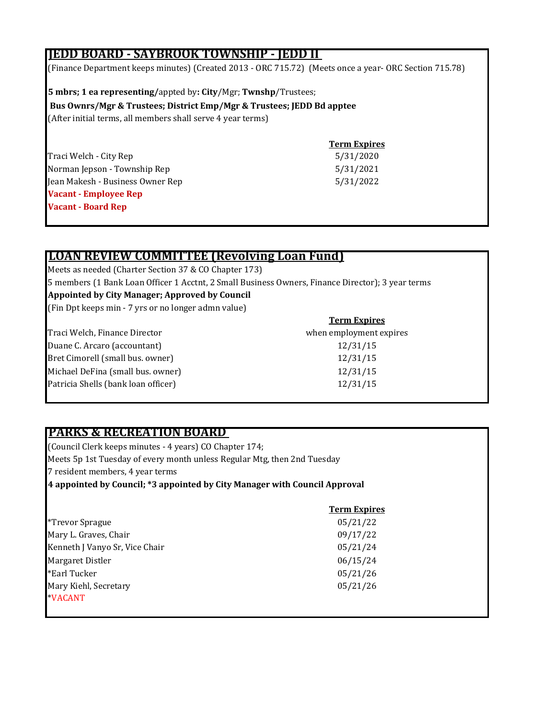## **JEDD BOARD - SAYBROOK TOWNSHIP - JEDD II**

(Finance Department keeps minutes) (Created 2013 - ORC 715.72) (Meets once a year- ORC Section 715.78)

**5 mbrs; 1 ea representing/**appted by**: City**/Mgr; **Twnshp**/Trustees;  **Bus Ownrs/Mgr & Trustees; District Emp/Mgr & Trustees; JEDD Bd apptee** (After initial terms, all members shall serve 4 year terms)

Traci Welch - City Rep Norman Jepson - Township Rep Jean Makesh - Business Owner Rep **Vacant - Employee Rep Vacant - Board Rep**

### **LOAN REVIEW COMMITTEE (Revolving Loan Fund)**

Meets as needed (Charter Section 37 & CO Chapter 173)

5 members (1 Bank Loan Officer 1 Acctnt, 2 Small Business Owners, Finance Director); 3 year terms

**Appointed by City Manager; Approved by Council**

(Fin Dpt keeps min - 7 yrs or no longer admn value)

| when employmen |
|----------------|
| 12/31/15       |
| 12/31/15       |
| 12/31/15       |
| 12/31/15       |
|                |

#### **PARKS & RECREATION BOARD**

(Council Clerk keeps minutes - 4 years) CO Chapter 174; Meets 5p 1st Tuesday of every month unless Regular Mtg, then 2nd Tuesday 7 resident members, 4 year terms

**4 appointed by Council; \*3 appointed by City Manager with Council Approval** 

|                                | <b>Term Expires</b> |
|--------------------------------|---------------------|
| <i>*Trevor Sprague</i>         | 05/21/22            |
| Mary L. Graves, Chair          | 09/17/22            |
| Kenneth J Vanyo Sr, Vice Chair | 05/21/24            |
| Margaret Distler               | 06/15/24            |
| *Earl Tucker                   | 05/21/26            |
| Mary Kiehl, Secretary          | 05/21/26            |
| *VACANT                        |                     |
|                                |                     |

| <u>Term Expires</u> |
|---------------------|
| 5/31/2020           |
| 5/31/2021           |
| 5/31/2022           |

#### **Term Expires**

when employment expires  $12/31/15$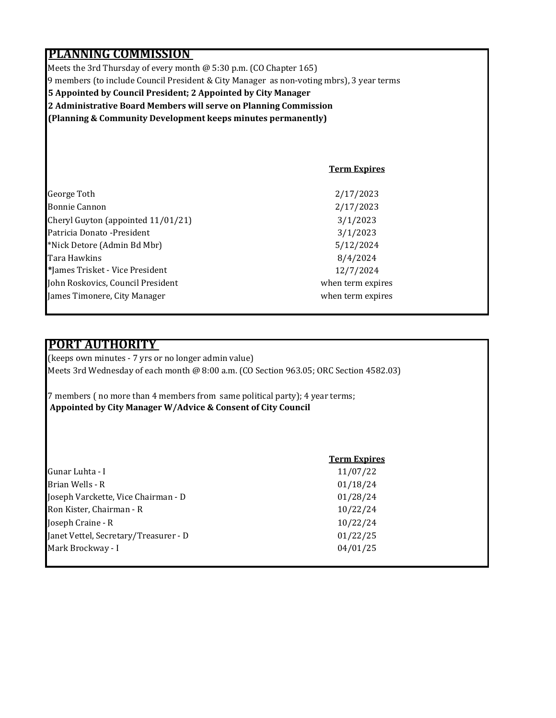#### **PLANNING COMMISSION**

Meets the 3rd Thursday of every month @ 5:30 p.m. (CO Chapter 165) 9 members (to include Council President & City Manager as non-voting mbrs), 3 year terms **5 Appointed by Council President; 2 Appointed by City Manager 2 Administrative Board Members will serve on Planning Commission (Planning & Community Development keeps minutes permanently)**

| George Toth                        | 2/17/2023         |
|------------------------------------|-------------------|
| Bonnie Cannon                      | 2/17/2023         |
| Cheryl Guyton (appointed 11/01/21) | 3/1/2023          |
| Patricia Donato -President         | 3/1/2023          |
| *Nick Detore (Admin Bd Mbr)        | 5/12/2024         |
| Tara Hawkins                       | 8/4/2024          |
| *James Trisket - Vice President    | 12/7/2024         |
| John Roskovics, Council President  | when term expires |
| James Timonere, City Manager       | when term expires |
|                                    |                   |

**Term Expires**

#### **PORT AUTHORITY**

(keeps own minutes - 7 yrs or no longer admin value) Meets 3rd Wednesday of each month @ 8:00 a.m. (CO Section 963.05; ORC Section 4582.03)

7 members ( no more than 4 members from same political party); 4 year terms; **Appointed by City Manager W/Advice & Consent of City Council**

|                                       | <b>Term Expires</b> |
|---------------------------------------|---------------------|
| Gunar Luhta - I                       | 11/07/22            |
| Brian Wells - R                       | 01/18/24            |
| Joseph Varckette, Vice Chairman - D   | 01/28/24            |
| Ron Kister, Chairman - R              | 10/22/24            |
| Joseph Craine - R                     | 10/22/24            |
| Janet Vettel, Secretary/Treasurer - D | 01/22/25            |
| Mark Brockway - I                     | 04/01/25            |
|                                       |                     |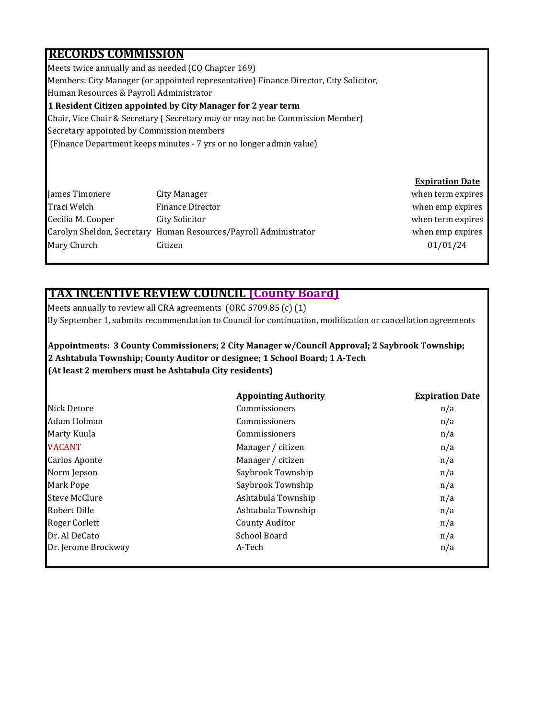### **RECORDS COMMISSION**

Meets twice annually and as needed (CO Chapter 169) Members: City Manager (or appointed representative) Finance Director, City Solicitor, Human Resources & Payroll Administrator **1 Resident Citizen appointed by City Manager for 2 year term**  Chair, Vice Chair & Secretary ( Secretary may or may not be Commission Member) Secretary appointed by Commission members (Finance Department keeps minutes - 7 yrs or no longer admin value)

**Expiration Date** James Timonere City Manager when term expires Traci Welch Finance Director when emp expires Cecilia M. Cooper City Solicitor when term expires Carolyn Sheldon, Secretary Human Resources/Payroll Administrator when emp expires Mary Church Citizen Containers and the Containers of the Containers of the Containers of the Containers of the Containers of the Containers of the Containers of the Containers of the Containers of the Containers of the Con

### **TAX INCENTIVE REVIEW COUNCIL (County Board)**

Meets annually to review all CRA agreements (ORC 5709.85 (c) (1) By September 1, submits recommendation to Council for continuation, modification or cancellation agreements

**Appointments: 3 County Commissioners; 2 City Manager w/Council Approval; 2 Saybrook Township; 2 Ashtabula Township; County Auditor or designee; 1 School Board; 1 A-Tech (At least 2 members must be Ashtabula City residents)** 

| <b>Appointing Authority</b> | <b>Expiration Date</b> |
|-----------------------------|------------------------|
| Commissioners               | n/a                    |
| Commissioners               | n/a                    |
| Commissioners               | n/a                    |
| Manager / citizen           | n/a                    |
| Manager / citizen           | n/a                    |
| Saybrook Township           | n/a                    |
| Saybrook Township           | n/a                    |
| Ashtabula Township          | n/a                    |
| Ashtabula Township          | n/a                    |
| <b>County Auditor</b>       | n/a                    |
| School Board                | n/a                    |
| A-Tech                      | n/a                    |
|                             |                        |